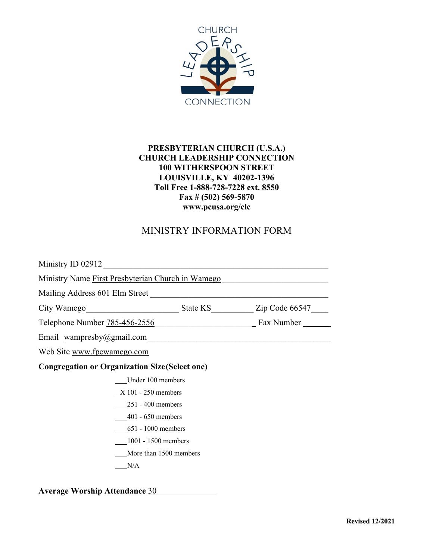

### **PRESBYTERIAN CHURCH (U.S.A.) CHURCH LEADERSHIP CONNECTION 100 WITHERSPOON STREET LOUISVILLE, KY 40202-1396 Toll Free 1-888-728-7228 ext. 8550 Fax # (502) 569-5870 www.pcusa.org/clc**

## MINISTRY INFORMATION FORM

| Ministry ID 02912                                     |                         |
|-------------------------------------------------------|-------------------------|
| Ministry Name First Presbyterian Church in Wamego     |                         |
| Mailing Address 601 Elm Street                        |                         |
| City <u>Wamego</u>                                    | State KS Zip Code 66547 |
| Telephone Number 785-456-2556                         | _ Fax Number __         |
| Email wampresby@gmail.com                             |                         |
| Web Site www.fpcwamego.com                            |                         |
| <b>Congregation or Organization Size (Select one)</b> |                         |
| Under 100 members                                     |                         |
| $X$ 101 - 250 members                                 |                         |
| $251 - 400$ members                                   |                         |
| $401 - 650$ members                                   |                         |
| $651 - 1000$ members                                  |                         |

1001 - 1500 members

More than 1500 members

 $N/A$ 

**Average Worship Attendance** 30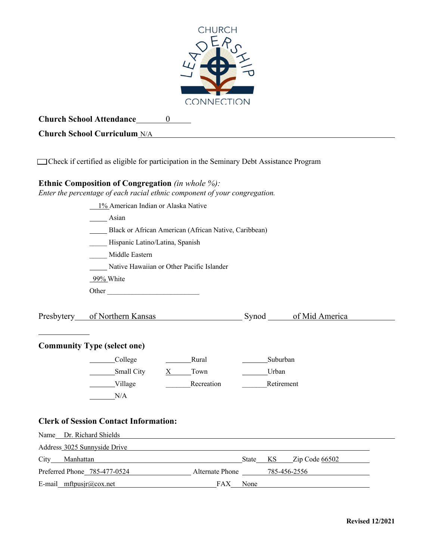

**Church School Attendance** 0

### **Church School Curriculum** N/A

Check if certified as eligible for participation in the Seminary Debt Assistance Program

#### **Ethnic Composition of Congregation** *(in whole %):*

*Enter the percentage of each racial ethnic component of your congregation.*

|                |                                    | 1% American Indian or Alaska Native          |                                                                      |      |            |                                                    |
|----------------|------------------------------------|----------------------------------------------|----------------------------------------------------------------------|------|------------|----------------------------------------------------|
|                |                                    | Asian                                        |                                                                      |      |            |                                                    |
|                |                                    |                                              | Black or African American (African Native, Caribbean)                |      |            |                                                    |
|                |                                    | Hispanic Latino/Latina, Spanish              |                                                                      |      |            |                                                    |
|                |                                    | Middle Eastern                               |                                                                      |      |            |                                                    |
|                |                                    | Native Hawaiian or Other Pacific Islander    |                                                                      |      |            |                                                    |
|                |                                    | 99% White                                    |                                                                      |      |            |                                                    |
|                |                                    | Other                                        |                                                                      |      |            |                                                    |
|                |                                    |                                              |                                                                      |      |            |                                                    |
|                |                                    |                                              |                                                                      |      |            | Presbytery of Northern Kansas Synod of Mid America |
|                |                                    |                                              |                                                                      |      |            |                                                    |
|                |                                    |                                              |                                                                      |      |            |                                                    |
|                | <b>Community Type (select one)</b> |                                              |                                                                      |      |            |                                                    |
|                |                                    | College                                      | Rural                                                                |      | Suburban   |                                                    |
|                |                                    | Small City                                   | X Town                                                               |      | Urban      |                                                    |
|                |                                    | Village                                      | Recreation                                                           |      | Retirement |                                                    |
|                |                                    | N/A                                          |                                                                      |      |            |                                                    |
|                |                                    |                                              |                                                                      |      |            |                                                    |
|                |                                    | <b>Clerk of Session Contact Information:</b> |                                                                      |      |            |                                                    |
|                | Name Dr. Richard Shields           |                                              |                                                                      |      |            |                                                    |
|                |                                    |                                              | Address 3025 Sunnyside Drive 2012 19:30 Address 3025 Sunnyside Drive |      |            |                                                    |
| City Manhattan |                                    |                                              |                                                                      |      |            | State KS Zip Code 66502                            |
|                |                                    |                                              | Preferred Phone 785-477-0524 Alternate Phone 785-456-2556            |      |            |                                                    |
|                |                                    |                                              |                                                                      |      |            |                                                    |
|                | E-mail_mftpusjr@cox.net            |                                              | FAX                                                                  | None |            |                                                    |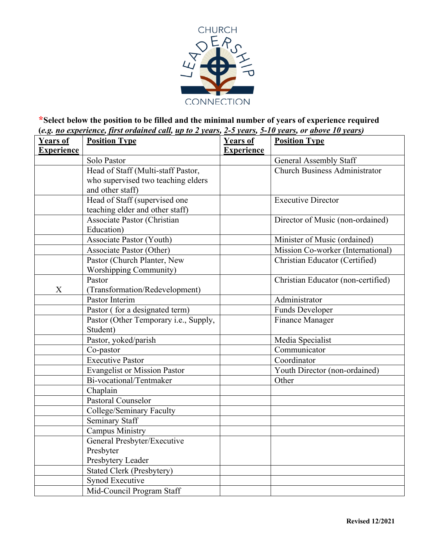

## **\*Select below the position to be filled and the minimal number of years of experience required (***e.g. no experience, first ordained call, up to 2 years, 2-5 years, 5-10 years, or above 10 years)*

| <b>Years of</b>   | <b>Position Type</b>                  | <b>Years of</b>   | <b>Position Type</b>               |
|-------------------|---------------------------------------|-------------------|------------------------------------|
| <b>Experience</b> |                                       | <b>Experience</b> |                                    |
|                   | Solo Pastor                           |                   | <b>General Assembly Staff</b>      |
|                   | Head of Staff (Multi-staff Pastor,    |                   | Church Business Administrator      |
|                   | who supervised two teaching elders    |                   |                                    |
|                   | and other staff)                      |                   |                                    |
|                   | Head of Staff (supervised one         |                   | <b>Executive Director</b>          |
|                   | teaching elder and other staff)       |                   |                                    |
|                   | <b>Associate Pastor (Christian</b>    |                   | Director of Music (non-ordained)   |
|                   | Education)                            |                   |                                    |
|                   | Associate Pastor (Youth)              |                   | Minister of Music (ordained)       |
|                   | <b>Associate Pastor (Other)</b>       |                   | Mission Co-worker (International)  |
|                   | Pastor (Church Planter, New           |                   | Christian Educator (Certified)     |
|                   | <b>Worshipping Community)</b>         |                   |                                    |
|                   | Pastor                                |                   | Christian Educator (non-certified) |
| X                 | (Transformation/Redevelopment)        |                   |                                    |
|                   | Pastor Interim                        |                   | Administrator                      |
|                   | Pastor (for a designated term)        |                   | <b>Funds Developer</b>             |
|                   | Pastor (Other Temporary i.e., Supply, |                   | <b>Finance Manager</b>             |
|                   | Student)                              |                   |                                    |
|                   | Pastor, yoked/parish                  |                   | Media Specialist                   |
|                   | Co-pastor                             |                   | Communicator                       |
|                   | <b>Executive Pastor</b>               |                   | Coordinator                        |
|                   | <b>Evangelist or Mission Pastor</b>   |                   | Youth Director (non-ordained)      |
|                   | Bi-vocational/Tentmaker               |                   | Other                              |
|                   | Chaplain                              |                   |                                    |
|                   | Pastoral Counselor                    |                   |                                    |
|                   | College/Seminary Faculty              |                   |                                    |
|                   | <b>Seminary Staff</b>                 |                   |                                    |
|                   | <b>Campus Ministry</b>                |                   |                                    |
|                   | General Presbyter/Executive           |                   |                                    |
|                   | Presbyter                             |                   |                                    |
|                   | Presbytery Leader                     |                   |                                    |
|                   | <b>Stated Clerk (Presbytery)</b>      |                   |                                    |
|                   | Synod Executive                       |                   |                                    |
|                   | Mid-Council Program Staff             |                   |                                    |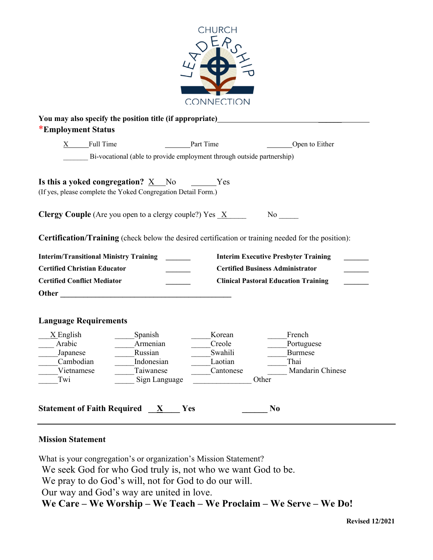

| X Full Time                                   |                                                                                                             | Part Time            | Open to Either                                                                                             |
|-----------------------------------------------|-------------------------------------------------------------------------------------------------------------|----------------------|------------------------------------------------------------------------------------------------------------|
|                                               | Bi-vocational (able to provide employment through outside partnership)                                      |                      |                                                                                                            |
|                                               | Is this a yoked congregation? $X$ No $Yes$<br>(If yes, please complete the Yoked Congregation Detail Form.) |                      |                                                                                                            |
|                                               |                                                                                                             |                      |                                                                                                            |
|                                               | <b>Clergy Couple</b> (Are you open to a clergy couple?) Yes $\overline{X}$                                  |                      |                                                                                                            |
|                                               |                                                                                                             |                      | <b>Certification/Training</b> (check below the desired certification or training needed for the position): |
|                                               |                                                                                                             |                      |                                                                                                            |
| <b>Interim/Transitional Ministry Training</b> |                                                                                                             |                      | <b>Interim Executive Presbyter Training</b>                                                                |
| <b>Certified Christian Educator</b>           |                                                                                                             |                      | <b>Certified Business Administrator</b>                                                                    |
| <b>Certified Conflict Mediator</b>            |                                                                                                             |                      | <b>Clinical Pastoral Education Training</b>                                                                |
| Other                                         |                                                                                                             |                      |                                                                                                            |
|                                               |                                                                                                             |                      |                                                                                                            |
| <b>Language Requirements</b>                  |                                                                                                             |                      |                                                                                                            |
| $\underline{X}$ English                       | Spanish                                                                                                     | Korean               | French                                                                                                     |
| Arabic                                        | Armenian                                                                                                    | Creole               | Portuguese                                                                                                 |
| Japanese                                      | Russian                                                                                                     | Swahili              | <b>Burmese</b>                                                                                             |
| Cambodian<br>Vietnamese                       | Indonesian<br>Taiwanese                                                                                     | Laotian<br>Cantonese | Thai<br>Mandarin Chinese                                                                                   |

#### **Mission Statement**

What is your congregation's or organization's Mission Statement? We seek God for who God truly is, not who we want God to be. We pray to do God's will, not for God to do our will. Our way and God's way are united in love. **We Care – We Worship – We Teach – We Proclaim – We Serve – We Do!**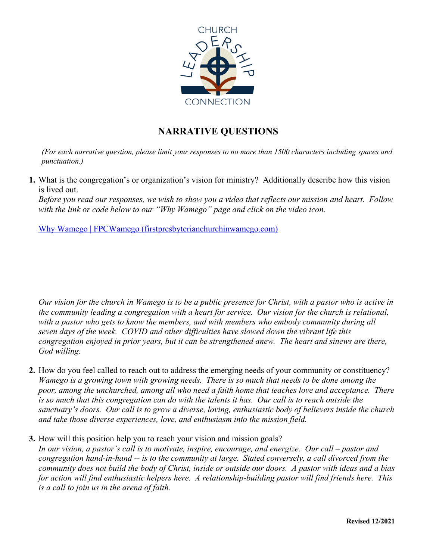

# **NARRATIVE QUESTIONS**

*(For each narrative question, please limit your responses to no more than 1500 characters including spaces and punctuation.)*

**1.** What is the congregation's or organization's vision for ministry? Additionally describe how this vision is lived out.

*Before you read our responses, we wish to show you a video that reflects our mission and heart. Follow with the link or code below to our "Why Wamego" page and click on the video icon.* 

Why Wamego | FPCWamego (firstpresbyterianchurchinwamego.com)

*Our vision for the church in Wamego is to be a public presence for Christ, with a pastor who is active in the community leading a congregation with a heart for service. Our vision for the church is relational, with a pastor who gets to know the members, and with members who embody community during all seven days of the week. COVID and other difficulties have slowed down the vibrant life this congregation enjoyed in prior years, but it can be strengthened anew. The heart and sinews are there, God willing.*

- **2.** How do you feel called to reach out to address the emerging needs of your community or constituency? *Wamego is a growing town with growing needs. There is so much that needs to be done among the poor, among the unchurched, among all who need a faith home that teaches love and acceptance. There is so much that this congregation can do with the talents it has. Our call is to reach outside the sanctuary's doors. Our call is to grow a diverse, loving, enthusiastic body of believers inside the church and take those diverse experiences, love, and enthusiasm into the mission field.*
- **3.** How will this position help you to reach your vision and mission goals?

*In our vision, a pastor's call is to motivate, inspire, encourage, and energize. Our call – pastor and congregation hand-in-hand -- is to the community at large. Stated conversely, a call divorced from the community does not build the body of Christ, inside or outside our doors. A pastor with ideas and a bias for action will find enthusiastic helpers here. A relationship-building pastor will find friends here. This is a call to join us in the arena of faith.*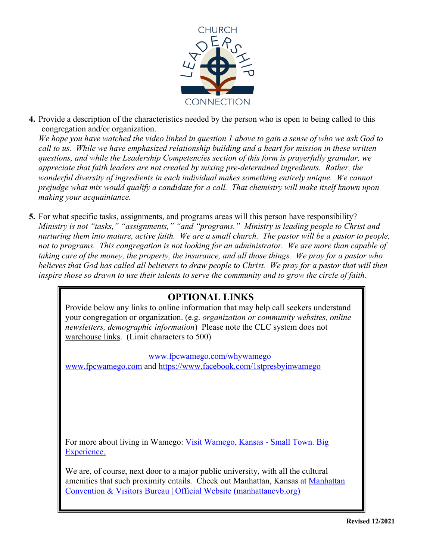

**4.** Provide a description of the characteristics needed by the person who is open to being called to this congregation and/or organization.

*We hope you have watched the video linked in question 1 above to gain a sense of who we ask God to call to us. While we have emphasized relationship building and a heart for mission in these written questions, and while the Leadership Competencies section of this form is prayerfully granular, we appreciate that faith leaders are not created by mixing pre-determined ingredients. Rather, the wonderful diversity of ingredients in each individual makes something entirely unique. We cannot prejudge what mix would qualify a candidate for a call. That chemistry will make itself known upon making your acquaintance.* 

**5.** For what specific tasks, assignments, and programs areas will this person have responsibility? *Ministry is not "tasks," "assignments," "and "programs." Ministry is leading people to Christ and nurturing them into mature, active faith. We are a small church. The pastor will be a pastor to people, not to programs. This congregation is not looking for an administrator. We are more than capable of taking care of the money, the property, the insurance, and all those things. We pray for a pastor who believes that God has called all believers to draw people to Christ. We pray for a pastor that will then inspire those so drawn to use their talents to serve the community and to grow the circle of faith.*

## **OPTIONAL LINKS**

Provide below any links to online information that may help call seekers understand your congregation or organization. (e.g. *organization or community websites, online newsletters, demographic information*) Please note the CLC system does not warehouse links. (Limit characters to 500)

www.fpcwamego.com/whywamego www.fpcwamego.com and https://www.facebook.com/1stpresbyinwamego

For more about living in Wamego: Visit Wamego, Kansas - Small Town. Big Experience.

We are, of course, next door to a major public university, with all the cultural amenities that such proximity entails. Check out Manhattan, Kansas at Manhattan Convention & Visitors Bureau | Official Website (manhattancvb.org)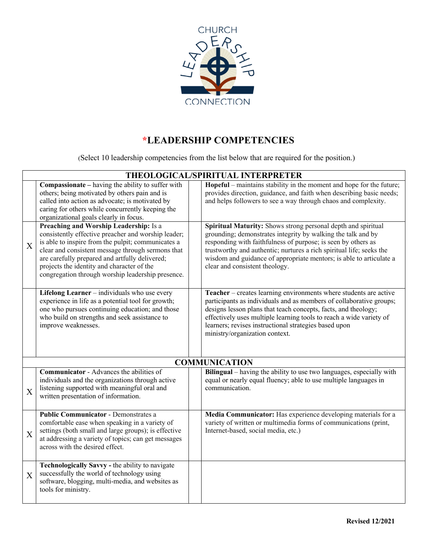

# **\*LEADERSHIP COMPETENCIES**

(Select 10 leadership competencies from the list below that are required for the position.)

|                           |                                                                                                                                                                                                                                                                                                                                                               | THEOLOGICAL/SPIRITUAL INTERPRETER                                                                                                                                                                                                                                                                                                                                               |
|---------------------------|---------------------------------------------------------------------------------------------------------------------------------------------------------------------------------------------------------------------------------------------------------------------------------------------------------------------------------------------------------------|---------------------------------------------------------------------------------------------------------------------------------------------------------------------------------------------------------------------------------------------------------------------------------------------------------------------------------------------------------------------------------|
|                           | <b>Compassionate</b> – having the ability to suffer with<br>others; being motivated by others pain and is<br>called into action as advocate; is motivated by<br>caring for others while concurrently keeping the<br>organizational goals clearly in focus.                                                                                                    | Hopeful – maintains stability in the moment and hope for the future;<br>provides direction, guidance, and faith when describing basic needs;<br>and helps followers to see a way through chaos and complexity.                                                                                                                                                                  |
| X                         | Preaching and Worship Leadership: Is a<br>consistently effective preacher and worship leader;<br>is able to inspire from the pulpit; communicates a<br>clear and consistent message through sermons that<br>are carefully prepared and artfully delivered;<br>projects the identity and character of the<br>congregation through worship leadership presence. | Spiritual Maturity: Shows strong personal depth and spiritual<br>grounding; demonstrates integrity by walking the talk and by<br>responding with faithfulness of purpose; is seen by others as<br>trustworthy and authentic; nurtures a rich spiritual life; seeks the<br>wisdom and guidance of appropriate mentors; is able to articulate a<br>clear and consistent theology. |
|                           | Lifelong Learner - individuals who use every<br>experience in life as a potential tool for growth;<br>one who pursues continuing education; and those<br>who build on strengths and seek assistance to<br>improve weaknesses.                                                                                                                                 | Teacher – creates learning environments where students are active<br>participants as individuals and as members of collaborative groups;<br>designs lesson plans that teach concepts, facts, and theology;<br>effectively uses multiple learning tools to reach a wide variety of<br>learners; revises instructional strategies based upon<br>ministry/organization context.    |
|                           |                                                                                                                                                                                                                                                                                                                                                               | <b>COMMUNICATION</b>                                                                                                                                                                                                                                                                                                                                                            |
| $\boldsymbol{\mathrm{X}}$ | <b>Communicator</b> - Advances the abilities of<br>individuals and the organizations through active<br>listening supported with meaningful oral and<br>written presentation of information.                                                                                                                                                                   | Bilingual – having the ability to use two languages, especially with<br>equal or nearly equal fluency; able to use multiple languages in<br>communication.                                                                                                                                                                                                                      |
| X                         | <b>Public Communicator - Demonstrates a</b><br>comfortable ease when speaking in a variety of<br>settings (both small and large groups); is effective<br>at addressing a variety of topics; can get messages<br>across with the desired effect.                                                                                                               | Media Communicator: Has experience developing materials for a<br>variety of written or multimedia forms of communications (print,<br>Internet-based, social media, etc.)                                                                                                                                                                                                        |
| X                         | Technologically Savvy - the ability to navigate<br>successfully the world of technology using<br>software, blogging, multi-media, and websites as<br>tools for ministry.                                                                                                                                                                                      |                                                                                                                                                                                                                                                                                                                                                                                 |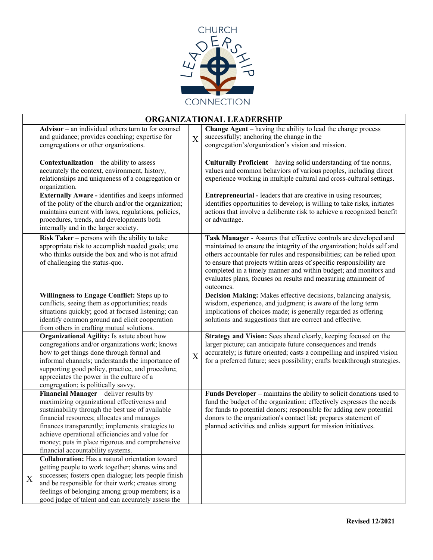

|   |                                                                                                                                                                                                                                                                                                                                                                                       |   | ORGANIZATIONAL LEADERSHIP                                                                                                                                                                                                                                                                                                                                                                                                                      |
|---|---------------------------------------------------------------------------------------------------------------------------------------------------------------------------------------------------------------------------------------------------------------------------------------------------------------------------------------------------------------------------------------|---|------------------------------------------------------------------------------------------------------------------------------------------------------------------------------------------------------------------------------------------------------------------------------------------------------------------------------------------------------------------------------------------------------------------------------------------------|
|   | $\Delta$ dvisor – an individual others turn to for counsel<br>and guidance; provides coaching; expertise for<br>congregations or other organizations.                                                                                                                                                                                                                                 | X | <b>Change Agent</b> – having the ability to lead the change process<br>successfully; anchoring the change in the<br>congregation's/organization's vision and mission.                                                                                                                                                                                                                                                                          |
|   | <b>Contextualization</b> $-$ the ability to assess<br>accurately the context, environment, history,<br>relationships and uniqueness of a congregation or<br>organization.                                                                                                                                                                                                             |   | Culturally Proficient - having solid understanding of the norms,<br>values and common behaviors of various peoples, including direct<br>experience working in multiple cultural and cross-cultural settings.                                                                                                                                                                                                                                   |
|   | Externally Aware - identifies and keeps informed<br>of the polity of the church and/or the organization;<br>maintains current with laws, regulations, policies,<br>procedures, trends, and developments both<br>internally and in the larger society.                                                                                                                                 |   | <b>Entrepreneurial</b> - leaders that are creative in using resources;<br>identifies opportunities to develop; is willing to take risks, initiates<br>actions that involve a deliberate risk to achieve a recognized benefit<br>or advantage.                                                                                                                                                                                                  |
|   | Risk Taker $-$ persons with the ability to take<br>appropriate risk to accomplish needed goals; one<br>who thinks outside the box and who is not afraid<br>of challenging the status-quo.                                                                                                                                                                                             |   | Task Manager - Assures that effective controls are developed and<br>maintained to ensure the integrity of the organization; holds self and<br>others accountable for rules and responsibilities; can be relied upon<br>to ensure that projects within areas of specific responsibility are<br>completed in a timely manner and within budget; and monitors and<br>evaluates plans, focuses on results and measuring attainment of<br>outcomes. |
|   | Willingness to Engage Conflict: Steps up to<br>conflicts, seeing them as opportunities; reads<br>situations quickly; good at focused listening; can<br>identify common ground and elicit cooperation<br>from others in crafting mutual solutions.                                                                                                                                     |   | Decision Making: Makes effective decisions, balancing analysis,<br>wisdom, experience, and judgment; is aware of the long term<br>implications of choices made; is generally regarded as offering<br>solutions and suggestions that are correct and effective.                                                                                                                                                                                 |
|   | Organizational Agility: Is astute about how<br>congregations and/or organizations work; knows<br>how to get things done through formal and<br>informal channels; understands the importance of<br>supporting good policy, practice, and procedure;<br>appreciates the power in the culture of a<br>congregation; is politically savvy.                                                | X | Strategy and Vision: Sees ahead clearly, keeping focused on the<br>larger picture; can anticipate future consequences and trends<br>accurately; is future oriented; casts a compelling and inspired vision<br>for a preferred future; sees possibility; crafts breakthrough strategies.                                                                                                                                                        |
|   | Financial Manager - deliver results by<br>maximizing organizational effectiveness and<br>sustainability through the best use of available<br>financial resources; allocates and manages<br>finances transparently; implements strategies to<br>achieve operational efficiencies and value for<br>money; puts in place rigorous and comprehensive<br>financial accountability systems. |   | Funds Developer – maintains the ability to solicit donations used to<br>fund the budget of the organization; effectively expresses the needs<br>for funds to potential donors; responsible for adding new potential<br>donors to the organization's contact list; prepares statement of<br>planned activities and enlists support for mission initiatives.                                                                                     |
| X | <b>Collaboration:</b> Has a natural orientation toward<br>getting people to work together; shares wins and<br>successes; fosters open dialogue; lets people finish<br>and be responsible for their work; creates strong<br>feelings of belonging among group members; is a<br>good judge of talent and can accurately assess the                                                      |   |                                                                                                                                                                                                                                                                                                                                                                                                                                                |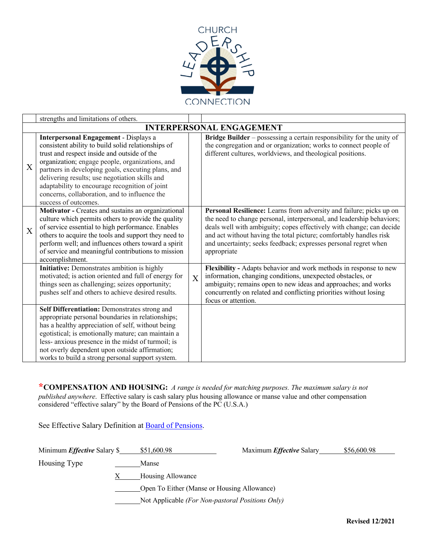

|                  | strengths and limitations of others.                                                                                                                                                                                                                                                                                                                                                                                                    |   |                                                                                                                                                                                                                                                                                                                                                                              |
|------------------|-----------------------------------------------------------------------------------------------------------------------------------------------------------------------------------------------------------------------------------------------------------------------------------------------------------------------------------------------------------------------------------------------------------------------------------------|---|------------------------------------------------------------------------------------------------------------------------------------------------------------------------------------------------------------------------------------------------------------------------------------------------------------------------------------------------------------------------------|
|                  |                                                                                                                                                                                                                                                                                                                                                                                                                                         |   | <b>INTERPERSONAL ENGAGEMENT</b>                                                                                                                                                                                                                                                                                                                                              |
| X                | <b>Interpersonal Engagement - Displays a</b><br>consistent ability to build solid relationships of<br>trust and respect inside and outside of the<br>organization; engage people, organizations, and<br>partners in developing goals, executing plans, and<br>delivering results; use negotiation skills and<br>adaptability to encourage recognition of joint<br>concerns, collaboration, and to influence the<br>success of outcomes. |   | Bridge Builder – possessing a certain responsibility for the unity of<br>the congregation and or organization; works to connect people of<br>different cultures, worldviews, and theological positions.                                                                                                                                                                      |
| $\boldsymbol{X}$ | Motivator - Creates and sustains an organizational<br>culture which permits others to provide the quality<br>of service essential to high performance. Enables<br>others to acquire the tools and support they need to<br>perform well; and influences others toward a spirit<br>of service and meaningful contributions to mission<br>accomplishment.                                                                                  |   | Personal Resilience: Learns from adversity and failure; picks up on<br>the need to change personal, interpersonal, and leadership behaviors;<br>deals well with ambiguity; copes effectively with change; can decide<br>and act without having the total picture; comfortably handles risk<br>and uncertainty; seeks feedback; expresses personal regret when<br>appropriate |
|                  | Initiative: Demonstrates ambition is highly<br>motivated; is action oriented and full of energy for<br>things seen as challenging; seizes opportunity;<br>pushes self and others to achieve desired results.                                                                                                                                                                                                                            | X | Flexibility - Adapts behavior and work methods in response to new<br>information, changing conditions, unexpected obstacles, or<br>ambiguity; remains open to new ideas and approaches; and works<br>concurrently on related and conflicting priorities without losing<br>focus or attention.                                                                                |
|                  | Self Differentiation: Demonstrates strong and<br>appropriate personal boundaries in relationships;<br>has a healthy appreciation of self, without being<br>egotistical; is emotionally mature; can maintain a<br>less- anxious presence in the midst of turmoil; is<br>not overly dependent upon outside affirmation;<br>works to build a strong personal support system.                                                               |   |                                                                                                                                                                                                                                                                                                                                                                              |

**\*COMPENSATION AND HOUSING:** *A range is needed for matching purposes. The maximum salary is not published anywhere*. Effective salary is cash salary plus housing allowance or manse value and other compensation considered "effective salary" by the Board of Pensions of the PC (U.S.A.)

See Effective Salary Definition at **Board of Pensions**.

| Minimum <i>Effective</i> Salary \$ | \$51,600.98                                      | Maximum <i>Effective</i> Salary | \$56,600.98 |
|------------------------------------|--------------------------------------------------|---------------------------------|-------------|
| Housing Type                       | Manse                                            |                                 |             |
|                                    | Housing Allowance                                |                                 |             |
|                                    | Open To Either (Manse or Housing Allowance)      |                                 |             |
|                                    | Not Applicable (For Non-pastoral Positions Only) |                                 |             |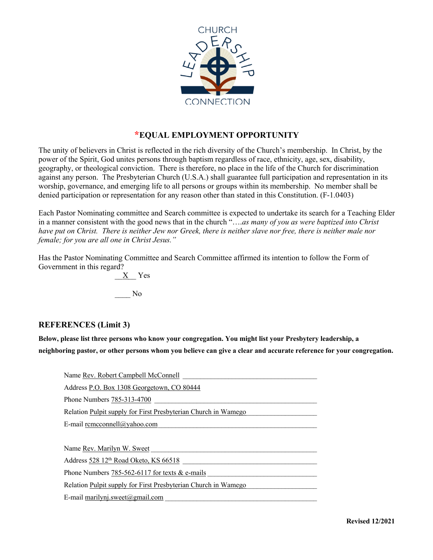

### **\*EQUAL EMPLOYMENT OPPORTUNITY**

The unity of believers in Christ is reflected in the rich diversity of the Church's membership. In Christ, by the power of the Spirit, God unites persons through baptism regardless of race, ethnicity, age, sex, disability, geography, or theological conviction. There is therefore, no place in the life of the Church for discrimination against any person. The Presbyterian Church (U.S.A.) shall guarantee full participation and representation in its worship, governance, and emerging life to all persons or groups within its membership. No member shall be denied participation or representation for any reason other than stated in this Constitution. (F-1.0403)

Each Pastor Nominating committee and Search committee is expected to undertake its search for a Teaching Elder in a manner consistent with the good news that in the church "….*as many of you as were baptized into Christ have put on Christ. There is neither Jew nor Greek, there is neither slave nor free, there is neither male nor female; for you are all one in Christ Jesus."*

Has the Pastor Nominating Committee and Search Committee affirmed its intention to follow the Form of Government in this regard?

> \_\_X\_\_ Yes \_\_\_\_ No

#### **REFERENCES (Limit 3)**

**Below, please list three persons who know your congregation. You might list your Presbytery leadership, a neighboring pastor, or other persons whom you believe can give a clear and accurate reference for your congregation.**

| Name Rev. Robert Campbell McConnell                            |
|----------------------------------------------------------------|
| Address P.O. Box 1308 Georgetown, CO 80444                     |
| Phone Numbers 785-313-4700                                     |
| Relation Pulpit supply for First Presbyterian Church in Wamego |
| E-mail remeconnell@yahoo.com                                   |
|                                                                |
| Name Rev. Marilyn W. Sweet                                     |
| Address 528 12 <sup>th</sup> Road Oketo, KS 66518              |
| Phone Numbers 785-562-6117 for texts $&$ e-mails               |
| Relation Pulpit supply for First Presbyterian Church in Wamego |
| E-mail marilyni.sweet@gmail.com                                |
|                                                                |